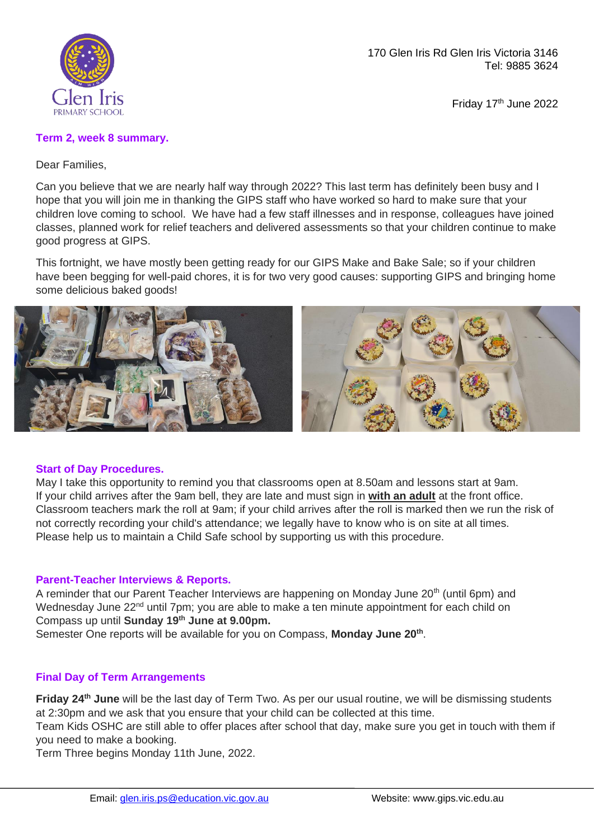

170 Glen Iris Rd Glen Iris Victoria 3146 Tel: 9885 3624

Friday 17<sup>th</sup> June 2022

## **Term 2, week 8 summary.**

Dear Families,

Can you believe that we are nearly half way through 2022? This last term has definitely been busy and I hope that you will join me in thanking the GIPS staff who have worked so hard to make sure that your children love coming to school. We have had a few staff illnesses and in response, colleagues have joined classes, planned work for relief teachers and delivered assessments so that your children continue to make good progress at GIPS.

This fortnight, we have mostly been getting ready for our GIPS Make and Bake Sale; so if your children have been begging for well-paid chores, it is for two very good causes: supporting GIPS and bringing home some delicious baked goods!



#### **Start of Day Procedures.**

May I take this opportunity to remind you that classrooms open at 8.50am and lessons start at 9am. If your child arrives after the 9am bell, they are late and must sign in **with an adult** at the front office. Classroom teachers mark the roll at 9am; if your child arrives after the roll is marked then we run the risk of not correctly recording your child's attendance; we legally have to know who is on site at all times. Please help us to maintain a Child Safe school by supporting us with this procedure.

# **Parent-Teacher Interviews & Reports.**

A reminder that our Parent Teacher Interviews are happening on Monday June 20<sup>th</sup> (until 6pm) and Wednesday June 22<sup>nd</sup> until 7pm; you are able to make a ten minute appointment for each child on Compass up until **Sunday 19th June at 9.00pm.**

Semester One reports will be available for you on Compass, **Monday June 20th** .

# **Final Day of Term Arrangements**

**Friday 24th June** will be the last day of Term Two. As per our usual routine, we will be dismissing students at 2:30pm and we ask that you ensure that your child can be collected at this time.

Team Kids OSHC are still able to offer places after school that day, make sure you get in touch with them if you need to make a booking.

Term Three begins Monday 11th June, 2022.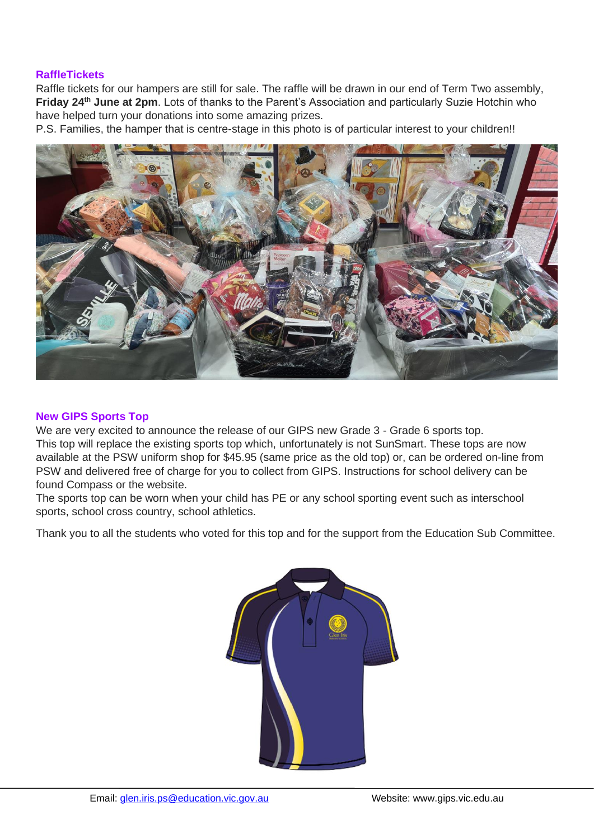#### **RaffleTickets**

Raffle tickets for our hampers are still for sale. The raffle will be drawn in our end of Term Two assembly, **Friday 24th June at 2pm**. Lots of thanks to the Parent's Association and particularly Suzie Hotchin who have helped turn your donations into some amazing prizes.

P.S. Families, the hamper that is centre-stage in this photo is of particular interest to your children!!



## **New GIPS Sports Top**

We are very excited to announce the release of our GIPS new Grade 3 - Grade 6 sports top. This top will replace the existing sports top which, unfortunately is not SunSmart. These tops are now available at the PSW uniform shop for \$45.95 (same price as the old top) or, can be ordered on-line from PSW and delivered free of charge for you to collect from GIPS. Instructions for school delivery can be found Compass or the website.

The sports top can be worn when your child has PE or any school sporting event such as interschool sports, school cross country, school athletics.

Thank you to all the students who voted for this top and for the support from the Education Sub Committee.

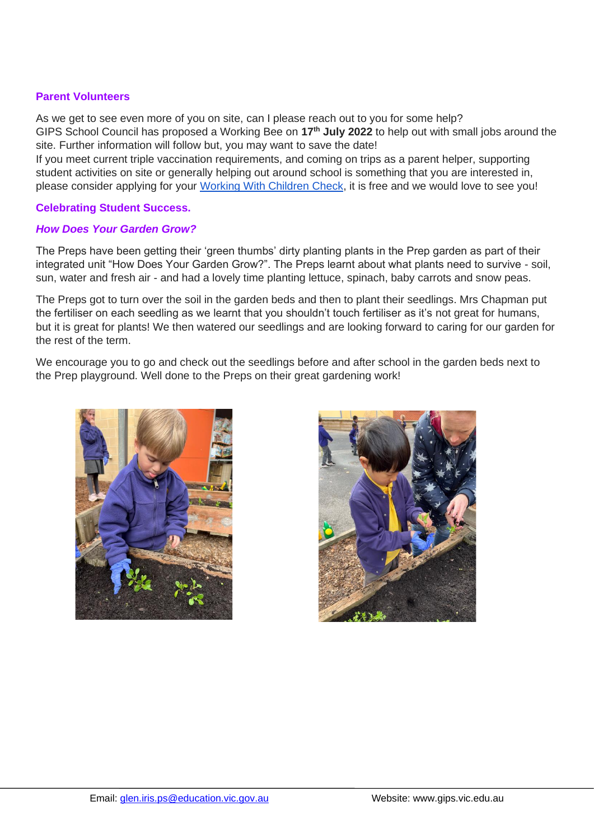#### **Parent Volunteers**

As we get to see even more of you on site, can I please reach out to you for some help? GIPS School Council has proposed a Working Bee on **17th July 2022** to help out with small jobs around the site. Further information will follow but, you may want to save the date! If you meet current triple vaccination requirements, and coming on trips as a parent helper, supporting

student activities on site or generally helping out around school is something that you are interested in, please consider applying for your [Working With Children Check,](https://www.workingwithchildren.vic.gov.au/individuals/applicants/how-to-apply-1) it is free and we would love to see you!

#### **Celebrating Student Success.**

#### *How Does Your Garden Grow?*

The Preps have been getting their 'green thumbs' dirty planting plants in the Prep garden as part of their integrated unit "How Does Your Garden Grow?". The Preps learnt about what plants need to survive - soil, sun, water and fresh air - and had a lovely time planting lettuce, spinach, baby carrots and snow peas.

The Preps got to turn over the soil in the garden beds and then to plant their seedlings. Mrs Chapman put the fertiliser on each seedling as we learnt that you shouldn't touch fertiliser as it's not great for humans, but it is great for plants! We then watered our seedlings and are looking forward to caring for our garden for the rest of the term.

We encourage you to go and check out the seedlings before and after school in the garden beds next to the Prep playground. Well done to the Preps on their great gardening work!



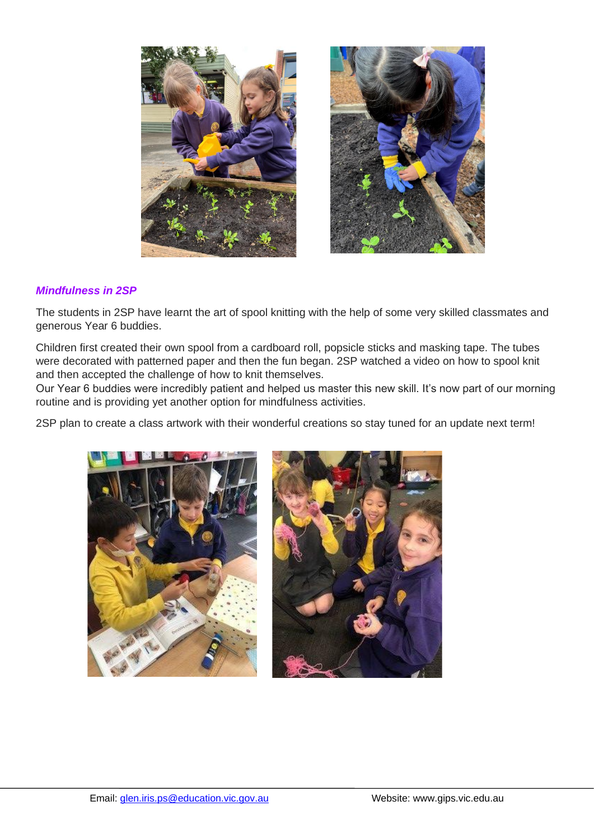

## *Mindfulness in 2SP*

The students in 2SP have learnt the art of spool knitting with the help of some very skilled classmates and generous Year 6 buddies.

Children first created their own spool from a cardboard roll, popsicle sticks and masking tape. The tubes were decorated with patterned paper and then the fun began. 2SP watched a video on how to spool knit and then accepted the challenge of how to knit themselves.

Our Year 6 buddies were incredibly patient and helped us master this new skill. It's now part of our morning routine and is providing yet another option for mindfulness activities.

2SP plan to create a class artwork with their wonderful creations so stay tuned for an update next term!